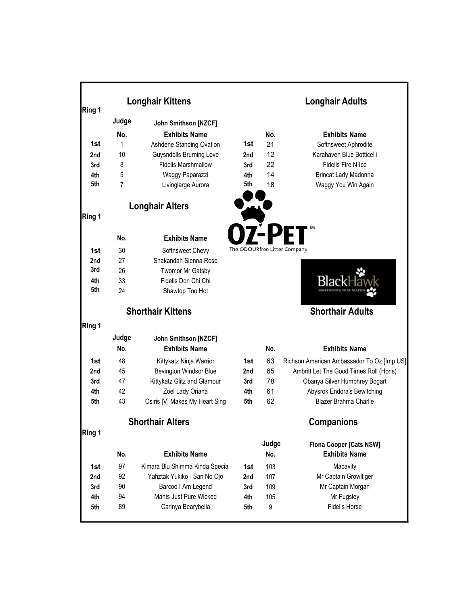| Ring 1     | <b>Longhair Kittens</b> |                                 |                              | <b>Longhair Adults</b> |                                                        |  |
|------------|-------------------------|---------------------------------|------------------------------|------------------------|--------------------------------------------------------|--|
|            | Judge                   | John Smithson [NZCF]            |                              |                        |                                                        |  |
|            | No.                     | <b>Exhibits Name</b>            |                              | No.                    | <b>Exhibits Name</b>                                   |  |
| 1st        | 1                       | Ashdene Standing Ovation        | 1st                          | 21                     | Softnsweet Aphrodite                                   |  |
| 2nd        | 10                      | <b>Guysndolls Brurning Love</b> | 2nd                          | 12                     | Karahaven Blue Botticelli                              |  |
| 3rd        | 8                       | <b>Fidelis Marshmallow</b>      | 3rd                          | 22                     | Fidelis Fire N Ice                                     |  |
| 4th        | 5                       | Waggy Paparazzi                 | 4th                          | 14                     | Brincat Lady Madonna                                   |  |
| 5th        | $\overline{7}$          | Livinglarge Aurora              | 5th                          | 18                     | Waggy You Win Again                                    |  |
|            |                         |                                 |                              |                        |                                                        |  |
|            |                         | <b>Longhair Alters</b>          |                              |                        |                                                        |  |
| Ring 1     |                         |                                 |                              |                        |                                                        |  |
|            | No.                     | <b>Exhibits Name</b>            |                              |                        |                                                        |  |
| 1st        | 30                      | Softnsweet Chevy                | The ODOURfree Litter Company |                        |                                                        |  |
| 2nd        | 27                      | Shakandah Sienna Rose           |                              |                        |                                                        |  |
| 3rd        | 26                      | <b>Twomor Mr Gatsby</b>         |                              |                        |                                                        |  |
| 4th        | 33                      | Fidelis Don Chi Chi             |                              |                        |                                                        |  |
| 5th        | 24                      | Shawtop Too Hot                 |                              |                        |                                                        |  |
|            |                         | <b>Shorthair Kittens</b>        |                              |                        | <b>Shorthair Adults</b>                                |  |
| Ring 1     |                         |                                 |                              |                        |                                                        |  |
|            | Judge                   | John Smithson [NZCF]            |                              |                        |                                                        |  |
|            | No.                     | <b>Exhibits Name</b>            |                              | No.                    | <b>Exhibits Name</b>                                   |  |
| 1st        | 48                      | Kittykatz Ninja Warrior         | 1st                          | 63                     | Richson American Ambassador To Oz [Imp US]             |  |
| 2nd        | 45                      | Bevington Windsor Blue          | 2nd                          | 65                     | Ambritt Let The Good Times Roll (Hons)                 |  |
| 3rd        | 47                      | Kittykatz Glitz and Glamour     | 3rd                          | 78                     | Obanya Silver Humphrey Bogart                          |  |
| 4th        | 42                      | Zoel Lady Oriana                | 4th                          | 61                     | Abysrok Endora's Bewitching                            |  |
| 5th        | 43                      | Osiris [V] Makes My Heart Sing  | 5th                          | 62                     | Blazer Brahma Charlie                                  |  |
|            |                         | <b>Shorthair Alters</b>         |                              |                        |                                                        |  |
| Ring 1     |                         |                                 |                              |                        | <b>Companions</b>                                      |  |
|            | No.                     | <b>Exhibits Name</b>            |                              | Judge<br>No.           | <b>Fiona Cooper [Cats NSW]</b><br><b>Exhibits Name</b> |  |
|            | 97                      | Kimara Blu Shimma Kinda Special |                              | 103                    | Macavity                                               |  |
| 1st<br>2nd | 92                      | Yahztak Yukiko - San No Ojo     | 1st<br>2nd                   | 107                    | Mr Captain Growltiger                                  |  |
| 3rd        | 90                      | Barcoo I Am Legend              | 3rd                          | 109                    | Mr Captain Morgan                                      |  |
| 4th        | 94                      | Manis Just Pure Wicked          | 4th                          | 105                    | Mr Pugsley                                             |  |
| 5th        | 89                      | Carinya Bearybella              | 5th                          | 9                      | <b>Fidelis Horse</b>                                   |  |
|            |                         |                                 |                              |                        |                                                        |  |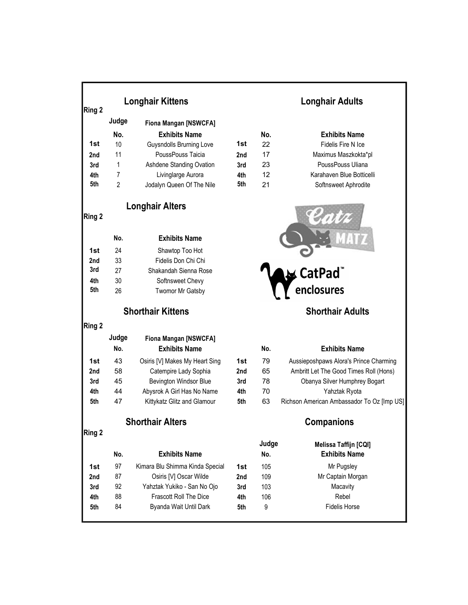|        | <b>Longhair Kittens</b> |                                 |     | <b>Longhair Adults</b> |                                            |  |  |
|--------|-------------------------|---------------------------------|-----|------------------------|--------------------------------------------|--|--|
| Ring 2 |                         |                                 |     |                        |                                            |  |  |
|        | Judge                   | <b>Fiona Mangan [NSWCFA]</b>    |     |                        |                                            |  |  |
|        | No.                     | <b>Exhibits Name</b>            |     | No.                    | <b>Exhibits Name</b>                       |  |  |
| 1st    | 10                      | <b>Guysndolls Brurning Love</b> | 1st | 22                     | Fidelis Fire N Ice                         |  |  |
| 2nd    | 11                      | PoussPouss Taicia               | 2nd | 17                     | Maximus Maszkokta*pl                       |  |  |
| 3rd    | 1                       | Ashdene Standing Ovation        | 3rd | 23                     | PoussPouss Uliana                          |  |  |
| 4th    | 7                       | Livinglarge Aurora              | 4th | 12                     | Karahaven Blue Botticelli                  |  |  |
| 5th    | $\overline{2}$          | Jodalyn Queen Of The Nile       | 5th | 21                     | Softnsweet Aphrodite                       |  |  |
| Ring 2 |                         | <b>Longhair Alters</b>          |     |                        |                                            |  |  |
|        | No.                     | <b>Exhibits Name</b>            |     |                        |                                            |  |  |
| 1st    | 24                      | Shawtop Too Hot                 |     |                        |                                            |  |  |
| 2nd    | 33                      | Fidelis Don Chi Chi             |     |                        |                                            |  |  |
| 3rd    | 27                      | Shakandah Sienna Rose           |     |                        | <b>CatPad</b> ™                            |  |  |
| 4th    | 30                      | Softnsweet Chevy                |     |                        |                                            |  |  |
| 5th    | 26                      | <b>Twomor Mr Gatsby</b>         |     |                        | enclosures                                 |  |  |
|        |                         | <b>Shorthair Kittens</b>        |     |                        | <b>Shorthair Adults</b>                    |  |  |
| Ring 2 |                         |                                 |     |                        |                                            |  |  |
|        | Judge                   | <b>Fiona Mangan [NSWCFA]</b>    |     |                        |                                            |  |  |
|        | No.                     | <b>Exhibits Name</b>            |     | No.                    | <b>Exhibits Name</b>                       |  |  |
| 1st    | 43                      | Osiris [V] Makes My Heart Sing  | 1st | 79                     | Aussieposhpaws Alora's Prince Charming     |  |  |
| 2nd    | 58                      | Catempire Lady Sophia           | 2nd | 65                     | Ambritt Let The Good Times Roll (Hons)     |  |  |
| 3rd    | 45                      | <b>Bevington Windsor Blue</b>   | 3rd | 78                     | Obanya Silver Humphrey Bogart              |  |  |
| 4th    | 44                      | Abysrok A Girl Has No Name      | 4th | 70                     | Yahztak Ryota                              |  |  |
| 5th    | 47                      | Kittykatz Glitz and Glamour     | 5th | 63                     | Richson American Ambassador To Oz [Imp US] |  |  |
|        |                         | <b>Shorthair Alters</b>         |     |                        | <b>Companions</b>                          |  |  |
| Ring 2 |                         |                                 |     |                        |                                            |  |  |
|        |                         |                                 |     | Judge                  | Melissa Taffijn [CQI]                      |  |  |
|        | No.                     | <b>Exhibits Name</b>            |     | No.                    | <b>Exhibits Name</b>                       |  |  |
| 1st    | 97                      | Kimara Blu Shimma Kinda Special | 1st | 105                    | Mr Pugsley                                 |  |  |
| 2nd    | 87                      | Osiris [V] Oscar Wilde          | 2nd | 109                    | Mr Captain Morgan                          |  |  |
| 3rd    | 92                      | Yahztak Yukiko - San No Ojo     | 3rd | 103                    | Macavity                                   |  |  |
| 4th    | 88                      | Frascott Roll The Dice          | 4th | 106                    | Rebel                                      |  |  |
| 5th    | 84                      | Byanda Wait Until Dark          | 5th | 9                      | <b>Fidelis Horse</b>                       |  |  |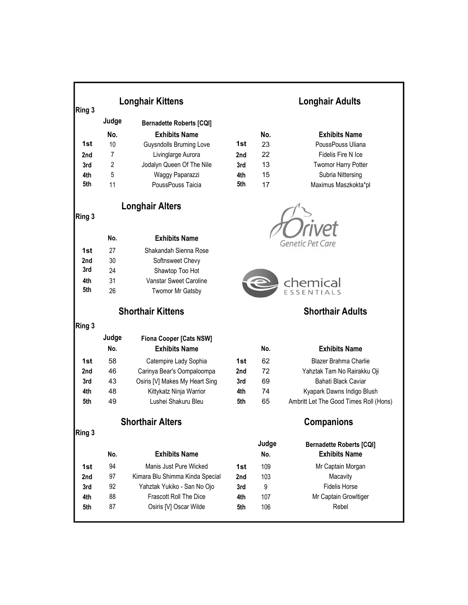| Ring 3     | <b>Longhair Kittens</b> |                                           |     | <b>Longhair Adults</b>  |                                                         |  |
|------------|-------------------------|-------------------------------------------|-----|-------------------------|---------------------------------------------------------|--|
|            | Judge                   | <b>Bernadette Roberts [CQI]</b>           |     |                         |                                                         |  |
|            | No.                     | <b>Exhibits Name</b>                      |     | No.                     | <b>Exhibits Name</b>                                    |  |
| 1st        | 10                      | <b>Guysndolls Brurning Love</b>           | 1st | 23                      | PoussPouss Uliana                                       |  |
| 2nd        | 7                       | Livinglarge Aurora                        | 2nd | 22                      | Fidelis Fire N Ice                                      |  |
| 3rd        | 2                       | Jodalyn Queen Of The Nile                 | 3rd | 13                      | <b>Twomor Harry Potter</b>                              |  |
| 4th        | 5                       | Waggy Paparazzi                           | 4th | 15                      | Subria Nittersing                                       |  |
| 5th        | 11                      | PoussPouss Taicia                         | 5th | 17                      | Maximus Maszkokta*pl                                    |  |
| Ring 3     |                         | <b>Longhair Alters</b>                    |     |                         |                                                         |  |
|            | No.                     | <b>Exhibits Name</b>                      |     |                         |                                                         |  |
|            |                         |                                           |     |                         | <b>Genetic Pet Care</b>                                 |  |
| 1st        | 27<br>30                | Shakandah Sienna Rose                     |     |                         |                                                         |  |
| 2nd<br>3rd | 24                      | Softnsweet Chevy                          |     |                         |                                                         |  |
| 4th        | 31                      | Shawtop Too Hot<br>Vanstar Sweet Caroline |     |                         |                                                         |  |
| 5th        | 26                      |                                           |     |                         | chemical                                                |  |
|            |                         | <b>Twomor Mr Gatsby</b>                   |     |                         |                                                         |  |
|            |                         | <b>Shorthair Kittens</b>                  |     | <b>Shorthair Adults</b> |                                                         |  |
| Ring 3     |                         |                                           |     |                         |                                                         |  |
|            | Judge                   | <b>Fiona Cooper [Cats NSW]</b>            |     |                         |                                                         |  |
|            | No.                     | <b>Exhibits Name</b>                      |     | No.                     | <b>Exhibits Name</b>                                    |  |
| 1st        | 58                      | Catempire Lady Sophia                     | 1st | 62                      | <b>Blazer Brahma Charlie</b>                            |  |
| 2nd        | 46                      | Carinya Bear's Oompaloompa                | 2nd | 72                      | Yahztak Tam No Rairakku Oji                             |  |
| 3rd        | 43                      | Osiris [V] Makes My Heart Sing            | 3rd | 69                      | Bahati Black Caviar                                     |  |
| 4th        | 48                      | Kittykatz Ninja Warrior                   | 4th | 74                      | Kyapark Dawns Indigo Blush                              |  |
| 5th        | 49                      | Lushei Shakuru Bleu                       | 5th | 65                      | Ambritt Let The Good Times Roll (Hons)                  |  |
|            |                         | <b>Shorthair Alters</b>                   |     | <b>Companions</b>       |                                                         |  |
| Ring 3     |                         |                                           |     |                         |                                                         |  |
|            | No.                     | <b>Exhibits Name</b>                      |     | Judge<br>No.            | <b>Bernadette Roberts [CQI]</b><br><b>Exhibits Name</b> |  |
| 1st        | 94                      | Manis Just Pure Wicked                    | 1st | 109                     | Mr Captain Morgan                                       |  |
| 2nd        | 97                      | Kimara Blu Shimma Kinda Special           | 2nd | 103                     | Macavity                                                |  |
| 3rd        | 92                      | Yahztak Yukiko - San No Ojo               | 3rd | 9                       | <b>Fidelis Horse</b>                                    |  |
| 4th        | 88                      | Frascott Roll The Dice                    | 4th | 107                     | Mr Captain Growltiger                                   |  |
| 5th        | 87                      | Osiris [V] Oscar Wilde                    | 5th | 106                     | Rebel                                                   |  |